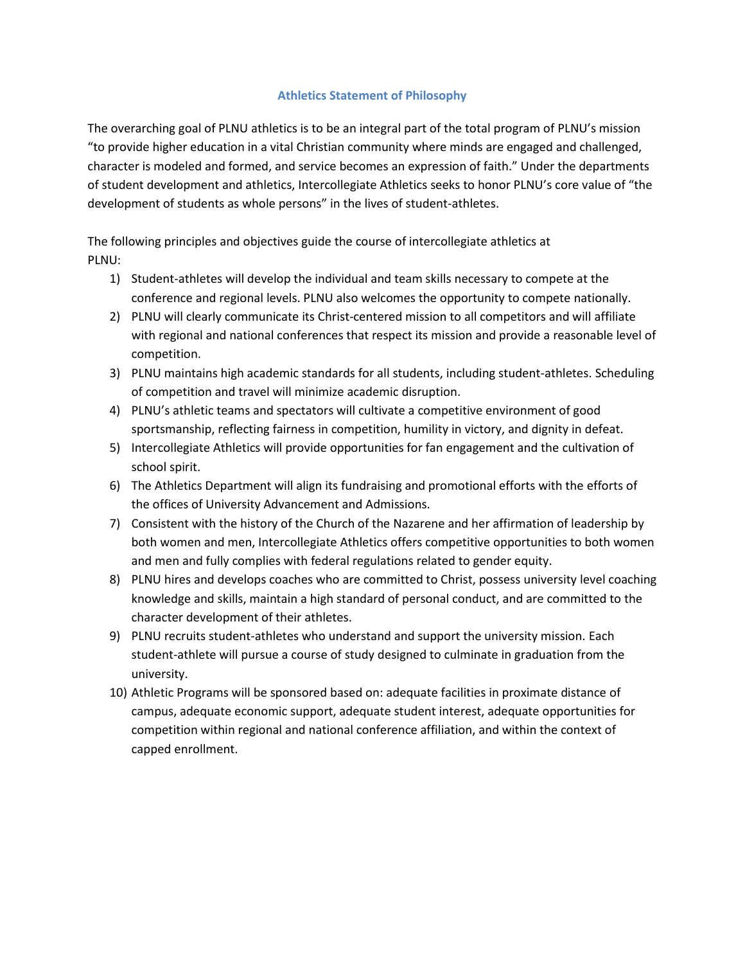#### **Athletics Statement of Philosophy**

The overarching goal of PLNU athletics is to be an integral part of the total program of PLNU's mission "to provide higher education in a vital Christian community where minds are engaged and challenged, character is modeled and formed, and service becomes an expression of faith." Under the departments of student development and athletics, Intercollegiate Athletics seeks to honor PLNU's core value of "the development of students as whole persons" in the lives of student‐athletes.

The following principles and objectives guide the course of intercollegiate athletics at PLNU:

- 1) Student‐athletes will develop the individual and team skills necessary to compete at the conference and regional levels. PLNU also welcomes the opportunity to compete nationally.
- 2) PLNU will clearly communicate its Christ-centered mission to all competitors and will affiliate with regional and national conferences that respect its mission and provide a reasonable level of competition.
- 3) PLNU maintains high academic standards for all students, including student‐athletes. Scheduling of competition and travel will minimize academic disruption.
- 4) PLNU's athletic teams and spectators will cultivate a competitive environment of good sportsmanship, reflecting fairness in competition, humility in victory, and dignity in defeat.
- 5) Intercollegiate Athletics will provide opportunities for fan engagement and the cultivation of school spirit.
- 6) The Athletics Department will align its fundraising and promotional efforts with the efforts of the offices of University Advancement and Admissions.
- 7) Consistent with the history of the Church of the Nazarene and her affirmation of leadership by both women and men, Intercollegiate Athletics offers competitive opportunities to both women and men and fully complies with federal regulations related to gender equity.
- 8) PLNU hires and develops coaches who are committed to Christ, possess university level coaching knowledge and skills, maintain a high standard of personal conduct, and are committed to the character development of their athletes.
- 9) PLNU recruits student-athletes who understand and support the university mission. Each student‐athlete will pursue a course of study designed to culminate in graduation from the university.
- 10) Athletic Programs will be sponsored based on: adequate facilities in proximate distance of campus, adequate economic support, adequate student interest, adequate opportunities for competition within regional and national conference affiliation, and within the context of capped enrollment.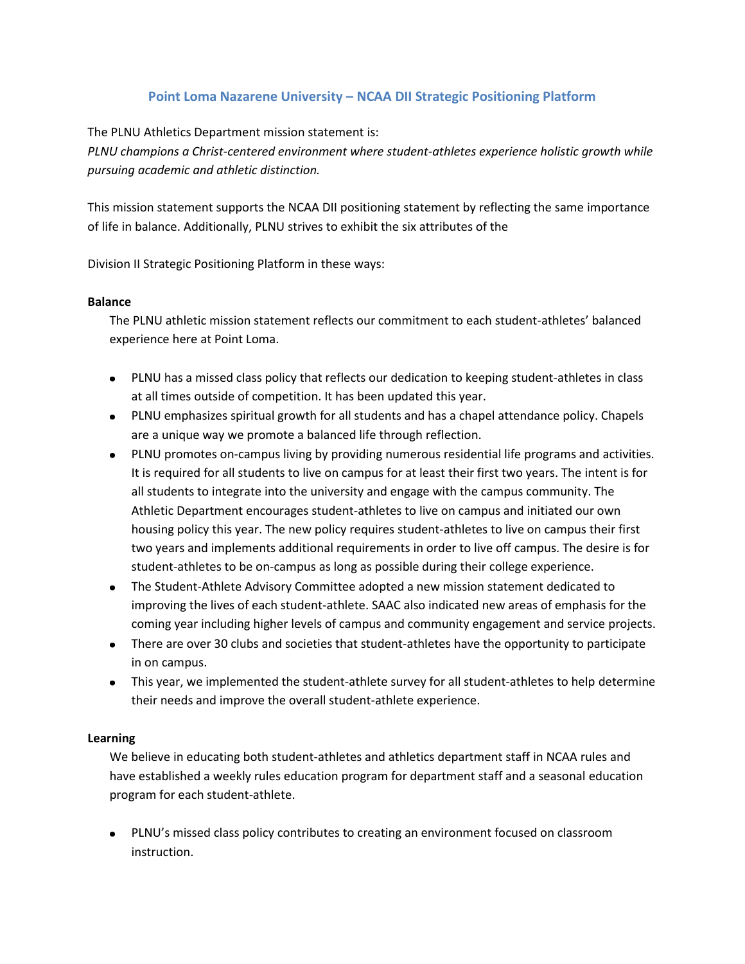## **Point Loma Nazarene University – NCAA DII Strategic Positioning Platform**

The PLNU Athletics Department mission statement is:

*PLNU champions a Christ‐centered environment where student‐athletes experience holistic growth while pursuing academic and athletic distinction.*

This mission statement supports the NCAA DII positioning statement by reflecting the same importance of life in balance. Additionally, PLNU strives to exhibit the six attributes of the

Division II Strategic Positioning Platform in these ways:

#### **Balance**

The PLNU athletic mission statement reflects our commitment to each student‐athletes' balanced experience here at Point Loma.

- PLNU has a missed class policy that reflects our dedication to keeping student-athletes in class at all times outside of competition. It has been updated this year.
- PLNU emphasizes spiritual growth for all students and has a chapel attendance policy. Chapels are a unique way we promote a balanced life through reflection.
- PLNU promotes on-campus living by providing numerous residential life programs and activities. It is required for all students to live on campus for at least their first two years. The intent is for all students to integrate into the university and engage with the campus community. The Athletic Department encourages student‐athletes to live on campus and initiated our own housing policy this year. The new policy requires student‐athletes to live on campus their first two years and implements additional requirements in order to live off campus. The desire is for student‐athletes to be on‐campus as long as possible during their college experience.
- The Student-Athlete Advisory Committee adopted a new mission statement dedicated to improving the lives of each student‐athlete. SAAC also indicated new areas of emphasis for the coming year including higher levels of campus and community engagement and service projects.
- There are over 30 clubs and societies that student-athletes have the opportunity to participate in on campus.
- This year, we implemented the student-athlete survey for all student-athletes to help determine their needs and improve the overall student‐athlete experience.

#### **Learning**

We believe in educating both student-athletes and athletics department staff in NCAA rules and have established a weekly rules education program for department staff and a seasonal education program for each student‐athlete.

PLNU's missed class policy contributes to creating an environment focused on classroom instruction.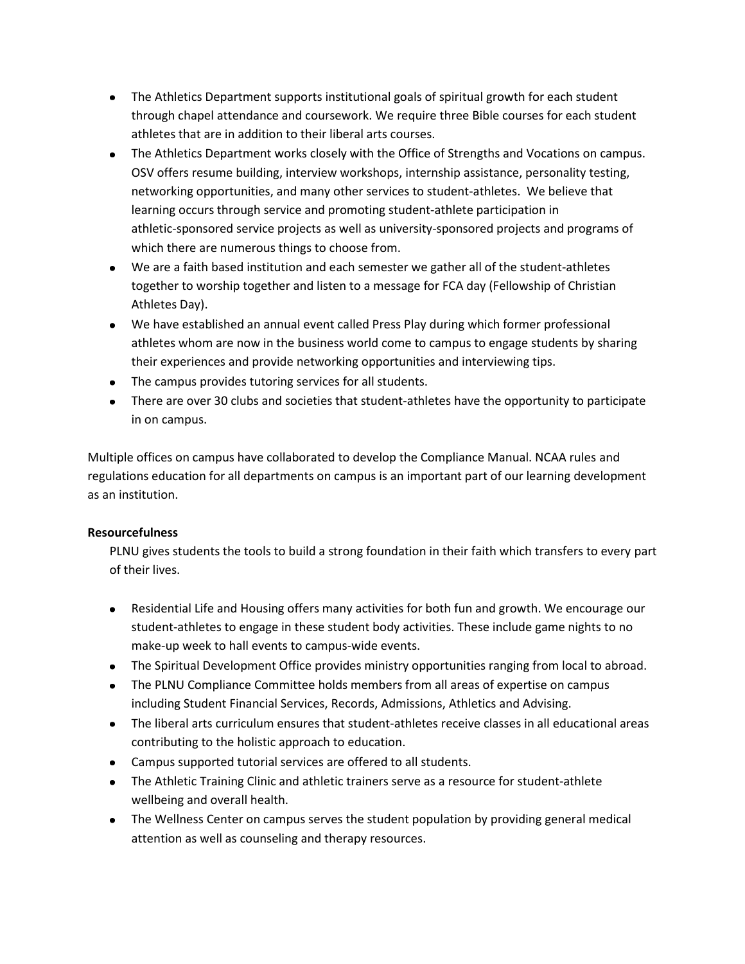- The Athletics Department supports institutional goals of spiritual growth for each student through chapel attendance and coursework. We require three Bible courses for each student athletes that are in addition to their liberal arts courses.
- The Athletics Department works closely with the Office of Strengths and Vocations on campus. OSV offers resume building, interview workshops, internship assistance, personality testing, networking opportunities, and many other services to student‐athletes. We believe that learning occurs through service and promoting student‐athlete participation in athletic‐sponsored service projects as well as university‐sponsored projects and programs of which there are numerous things to choose from.
- We are a faith based institution and each semester we gather all of the student-athletes together to worship together and listen to a message for FCA day (Fellowship of Christian Athletes Day).
- We have established an annual event called Press Play during which former professional athletes whom are now in the business world come to campus to engage students by sharing their experiences and provide networking opportunities and interviewing tips.
- The campus provides tutoring services for all students.
- There are over 30 clubs and societies that student-athletes have the opportunity to participate in on campus.

Multiple offices on campus have collaborated to develop the Compliance Manual. NCAA rules and regulations education for all departments on campus is an important part of our learning development as an institution.

### **Resourcefulness**

PLNU gives students the tools to build a strong foundation in their faith which transfers to every part of their lives.

- Residential Life and Housing offers many activities for both fun and growth. We encourage our student‐athletes to engage in these student body activities. These include game nights to no make‐up week to hall events to campus‐wide events.
- The Spiritual Development Office provides ministry opportunities ranging from local to abroad.
- The PLNU Compliance Committee holds members from all areas of expertise on campus including Student Financial Services, Records, Admissions, Athletics and Advising.
- The liberal arts curriculum ensures that student-athletes receive classes in all educational areas contributing to the holistic approach to education.
- Campus supported tutorial services are offered to all students.
- The Athletic Training Clinic and athletic trainers serve as a resource for student-athlete wellbeing and overall health.
- The Wellness Center on campus serves the student population by providing general medical attention as well as counseling and therapy resources.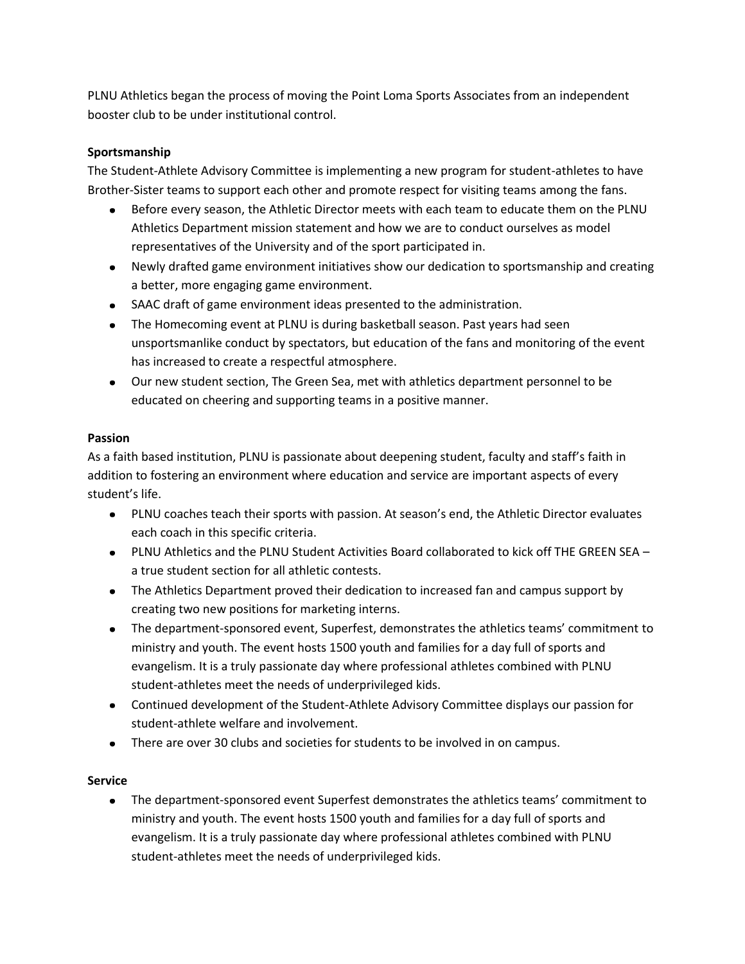PLNU Athletics began the process of moving the Point Loma Sports Associates from an independent booster club to be under institutional control.

# **Sportsmanship**

The Student‐Athlete Advisory Committee is implementing a new program for student‐athletes to have Brother‐Sister teams to support each other and promote respect for visiting teams among the fans.

- Before every season, the Athletic Director meets with each team to educate them on the PLNU  $\bullet$ Athletics Department mission statement and how we are to conduct ourselves as model representatives of the University and of the sport participated in.
- Newly drafted game environment initiatives show our dedication to sportsmanship and creating a better, more engaging game environment.
- SAAC draft of game environment ideas presented to the administration.
- The Homecoming event at PLNU is during basketball season. Past years had seen unsportsmanlike conduct by spectators, but education of the fans and monitoring of the event has increased to create a respectful atmosphere.
- Our new student section, The Green Sea, met with athletics department personnel to be educated on cheering and supporting teams in a positive manner.

### **Passion**

As a faith based institution, PLNU is passionate about deepening student, faculty and staff's faith in addition to fostering an environment where education and service are important aspects of every student's life.

- PLNU coaches teach their sports with passion. At season's end, the Athletic Director evaluates each coach in this specific criteria.
- PLNU Athletics and the PLNU Student Activities Board collaborated to kick off THE GREEN SEA a true student section for all athletic contests.
- The Athletics Department proved their dedication to increased fan and campus support by creating two new positions for marketing interns.
- The department‐sponsored event, Superfest, demonstrates the athletics teams' commitment to ministry and youth. The event hosts 1500 youth and families for a day full of sports and evangelism. It is a truly passionate day where professional athletes combined with PLNU student‐athletes meet the needs of underprivileged kids.
- Continued development of the Student-Athlete Advisory Committee displays our passion for student‐athlete welfare and involvement.
- There are over 30 clubs and societies for students to be involved in on campus.

### **Service**

■ The department-sponsored event Superfest demonstrates the athletics teams' commitment to ministry and youth. The event hosts 1500 youth and families for a day full of sports and evangelism. It is a truly passionate day where professional athletes combined with PLNU student‐athletes meet the needs of underprivileged kids.